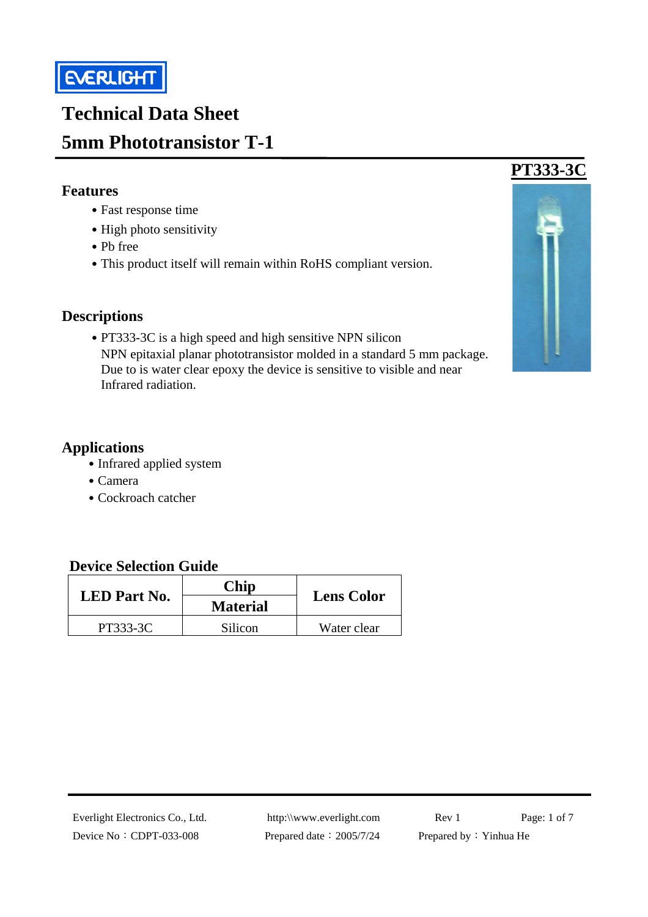

# **Technical Data Sheet 5mm Phototransistor T-1**

#### **Features**

- ․Fast response time
- High photo sensitivity
- ․Pb free
- This product itself will remain within RoHS compliant version.

#### **Descriptions**

• PT333-3C is a high speed and high sensitive NPN silicon NPN epitaxial planar phototransistor molded in a standard 5 mm package. Due to is water clear epoxy the device is sensitive to visible and near Infrared radiation.

#### **Applications**

- Infrared applied system
- ․Camera
- ․Cockroach catcher

#### **Device Selection Guide**

| <b>LED</b> Part No. | Chip            | <b>Lens Color</b> |  |
|---------------------|-----------------|-------------------|--|
|                     | <b>Material</b> |                   |  |
| PT333-3C            | Silicon         | Water clear       |  |



Device No: CDPT-033-008 Prepared date: 2005/7/24 Prepared by: Yinhua He

Everlight Electronics Co., Ltd. http:\\www.everlight.com Rev 1 Page: 1 of 7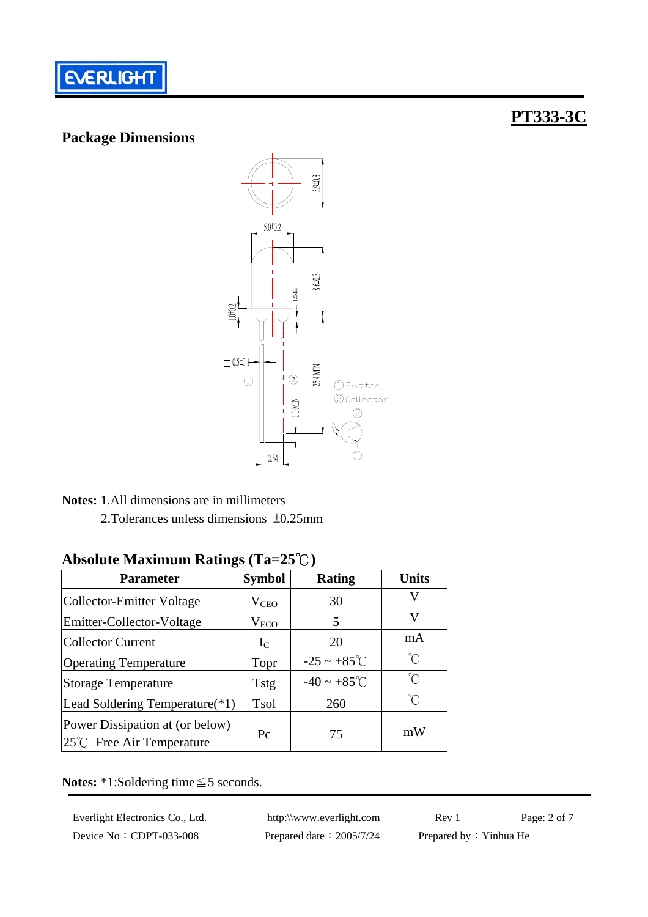

#### **Package Dimensions**

### **PT333-3C**



**Notes:** 1.All dimensions are in millimeters2.Tolerances unless dimensions ±0.25mm

### **Parameter Symbol Rating Units** Collector-Emitter Voltage V<sub>CEO</sub> 30 V Emitter-Collector-Voltage  $V_{ECO}$  5 Collector Current IC 20 mA Operating Temperature  $\qquad \qquad \text{Topr} \qquad -25 \sim +85^{\circ} \text{C} \qquad \text{°C}$ Storage Temperature Tstg  $\begin{array}{|c|c|c|c|c|} \hline \end{array}$  Tstg  $\begin{array}{|c|c|c|c|c|} \hline \end{array}$   $\text{---}40 \sim +85^{\circ}$   $\text{---}6$ Lead Soldering Temperature(\*1) Tsol 260 ℃ Power Dissipation at (or below)  $25^{\circ}$ C Free Air Temperature Pc 75 mW

#### **Absolute Maximum Ratings (Ta=25**℃**)**

**Notes:** \*1:Soldering time≦5 seconds.

Device No: CDPT-033-008 Prepared date: 2005/7/24 Prepared by: Yinhua He

Everlight Electronics Co., Ltd. http:\\www.everlight.com Rev 1 Page: 2 of 7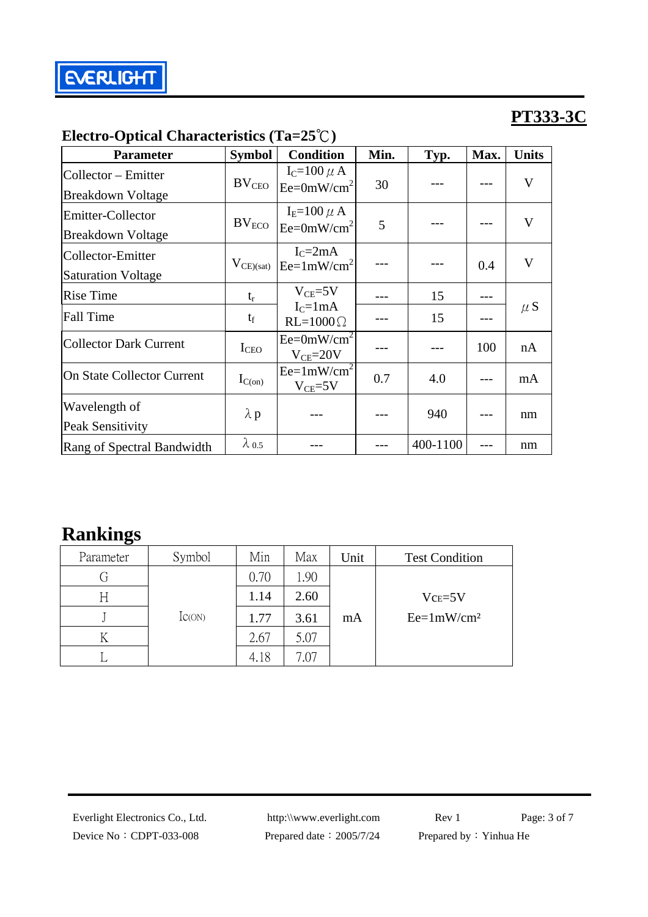| <b>Parameter</b>                                | <b>Symbol</b>     | <b>Condition</b>                 | Min. | Typ.     | Max. | <b>Units</b> |  |
|-------------------------------------------------|-------------------|----------------------------------|------|----------|------|--------------|--|
| Collector – Emitter<br><b>Breakdown Voltage</b> | BV <sub>CEO</sub> | $I_C=100 \mu A$<br>$Ee=0mW/cm^2$ | 30   |          |      | $\mathbf V$  |  |
| Emitter-Collector<br><b>Breakdown Voltage</b>   | $\rm BV_{ECO}$    | $I_E=100 \mu A$<br>$Ee=0mW/cm^2$ | 5    |          |      | $\mathbf{V}$ |  |
| Collector-Emitter<br><b>Saturation Voltage</b>  | $V_{CE)(sat)}$    | $IC=2mA$<br>$Ee=1mW/cm^2$        |      |          | 0.4  | $\mathbf V$  |  |
| <b>Rise Time</b>                                | $t_r$             | $V_{CE} = 5V$                    |      | 15       |      |              |  |
| <b>Fall Time</b>                                | $t_f$             | $I_{C}$ =1mA<br>$RL=1000\Omega$  |      | 15       |      | $\mu S$      |  |
| <b>Collector Dark Current</b>                   | I <sub>CEO</sub>  | $Ee=0mW/cm^2$<br>$V_{CE} = 20V$  |      |          | 100  | nA           |  |
| <b>On State Collector Current</b>               | $I_{C(on)}$       | $Ee=1mW/cm^2$<br>$V_{CE}$ =5V    | 0.7  | 4.0      |      | mA           |  |
| Wavelength of<br>Peak Sensitivity               | $\lambda$ p       |                                  |      | 940      |      | nm           |  |
| Rang of Spectral Bandwidth                      | $\lambda_{0.5}$   |                                  |      | 400-1100 |      | nm           |  |

### **Electro-Optical Characteristics (Ta=25**℃**)**

## **Rankings**

| $\tilde{\phantom{a}}$<br>Parameter | Symbol      | Min  | Max  | Unit | <b>Test Condition</b> |
|------------------------------------|-------------|------|------|------|-----------------------|
| G                                  |             | 0.70 | 1.90 |      |                       |
| Η                                  |             | 1.14 | 2.60 |      | $Vce=5V$              |
|                                    | $I_{C(ON)}$ | 1.77 | 3.61 | mA   | $Ee=1mW/cm^2$         |
|                                    |             | 2.67 | 5.07 |      |                       |
|                                    |             | 4.18 | '.07 |      |                       |

Device No: CDPT-033-008 Prepared date: 2005/7/24 Prepared by: Yinhua He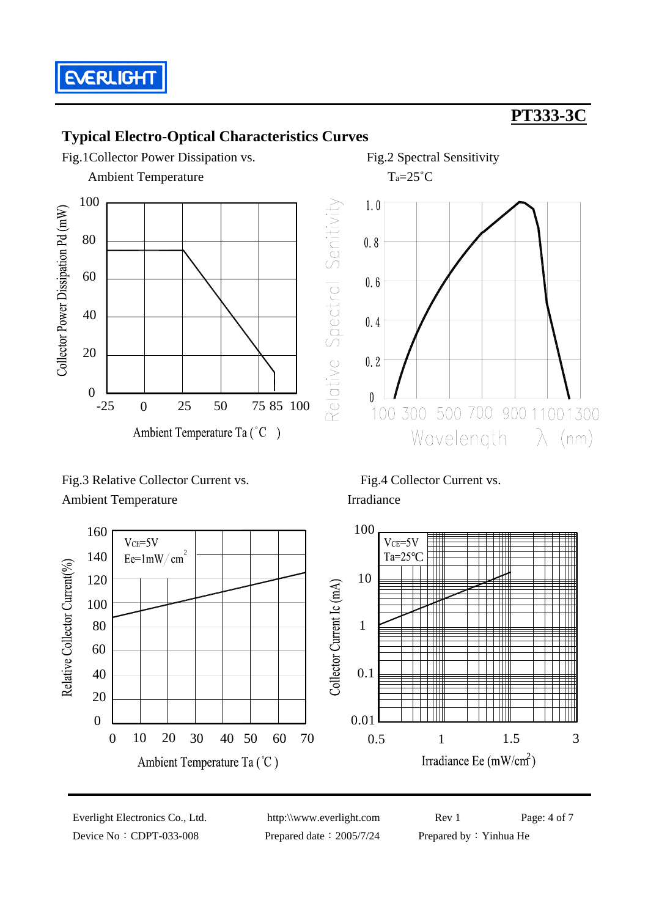

### **Typical Electro-Optical Characteristics Curves**



Ambient TemperatureTa=25˚C



Fig.3 Relative Collector Current vs. Fig.4 Collector Current vs. Ambient Temperature Irradiance





Device No: CDPT-033-008 Prepared date: 2005/7/24 Prepared by: Yinhua He

Everlight Electronics Co., Ltd. http:\\www.everlight.com Rev 1 Page: 4 of 7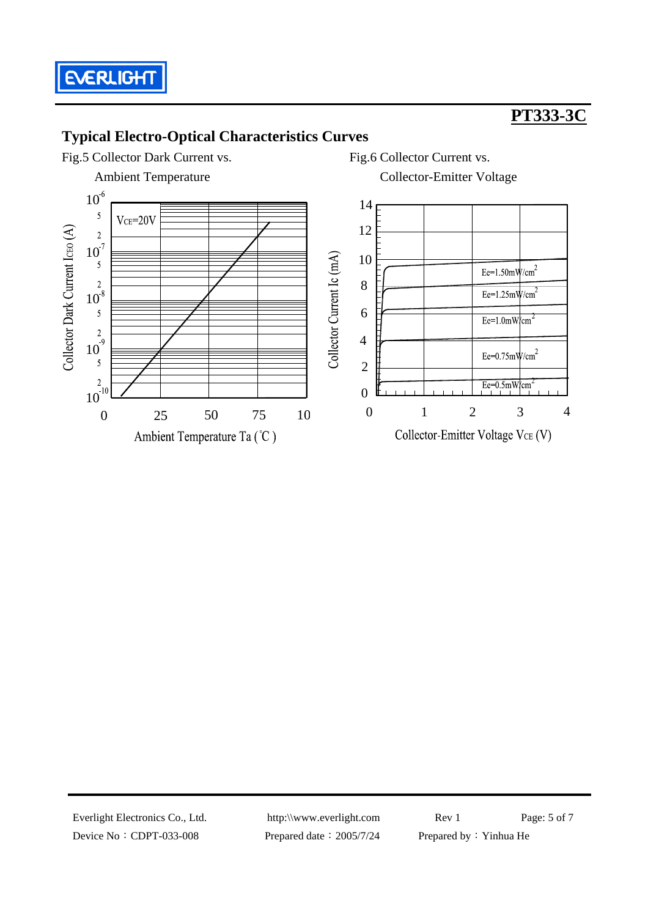

### **Typical Electro-Optical Characteristics Curves**



Device No: CDPT-033-008 Prepared date: 2005/7/24 Prepared by: Yinhua He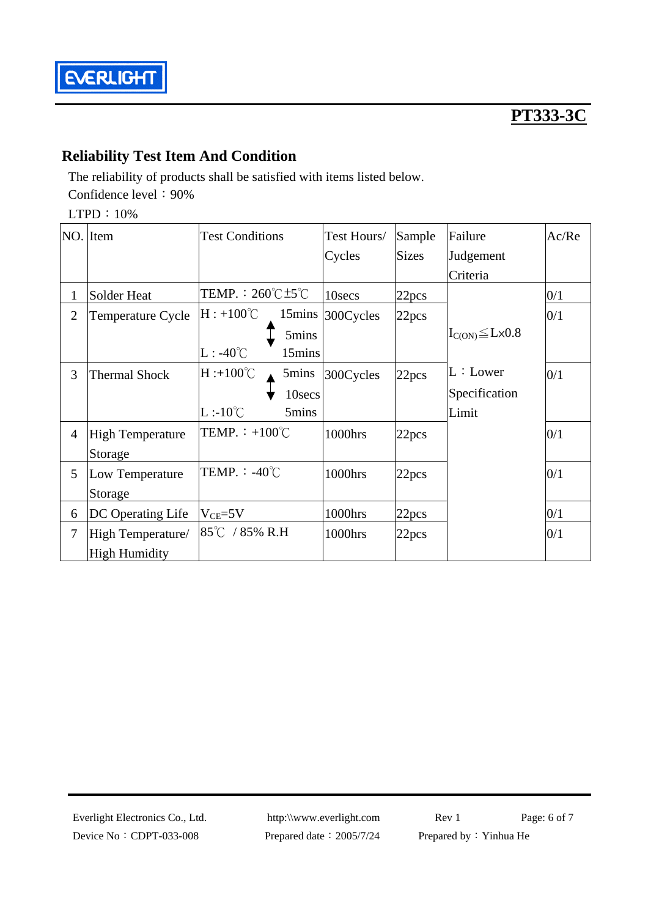

### **Reliability Test Item And Condition**

The reliability of products shall be satisfied with items listed below. Confidence level: 90%

LTPD:10%

|                | NO. Item                | <b>Test Conditions</b>                    | Test Hours/ | Sample       | Failure                       | Ac/Re |
|----------------|-------------------------|-------------------------------------------|-------------|--------------|-------------------------------|-------|
|                |                         |                                           | Cycles      | <b>Sizes</b> | Judgement                     |       |
|                |                         |                                           |             |              | Criteria                      |       |
| 1              | Solder Heat             | TEMP. : $260^{\circ}$ C $\pm 5^{\circ}$ C | 10secs      | 22pcs        |                               | 0/1   |
| $\overline{2}$ | Temperature Cycle       | $H: +100^{\circ}C$<br>15mins              | 300Cycles   | 22pcs        |                               | 0/1   |
|                |                         | 5mins                                     |             |              | $I_{C(ON)} \leq L \times 0.8$ |       |
|                |                         | $L: -40^{\circ}C$<br>15mins               |             |              |                               |       |
| 3              | <b>Thermal Shock</b>    | $H : +100^{\circ}C$<br>5mins              | 300Cycles   | 22pcs        | L:Lower                       | 0/1   |
|                |                         | 10secs                                    |             |              | Specification                 |       |
|                |                         | $L:10^{\circ}C$<br>5mins                  |             |              | Limit                         |       |
| $\overline{4}$ | <b>High Temperature</b> | TEMP. $\div$ +100°C                       | 1000hrs     | 22pcs        |                               | 0/1   |
|                | Storage                 |                                           |             |              |                               |       |
| 5              | Low Temperature         | TEMP. : $-40^{\circ}$ C                   | 1000hrs     | 22pcs        |                               | 0/1   |
|                | Storage                 |                                           |             |              |                               |       |
| 6              | DC Operating Life       | $V_{CE}$ =5V                              | 1000hrs     | 22pcs        |                               | 0/1   |
| 7              | High Temperature/       | $85^{\circ}$ C / 85% R.H                  | 1000hrs     | 22pcs        |                               | 0/1   |
|                | <b>High Humidity</b>    |                                           |             |              |                               |       |